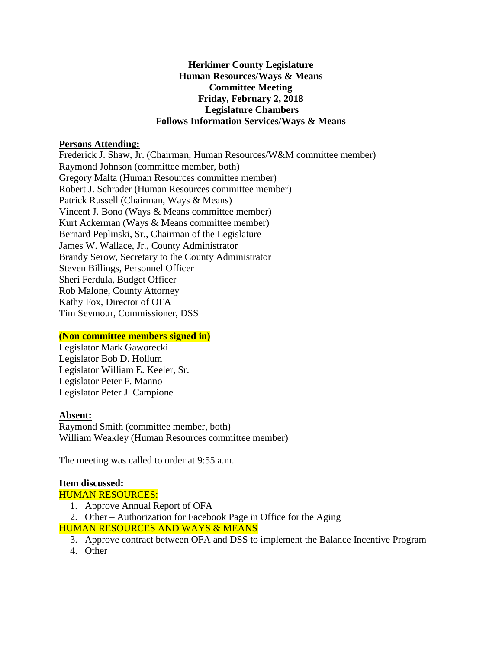### **Herkimer County Legislature Human Resources/Ways & Means Committee Meeting Friday, February 2, 2018 Legislature Chambers Follows Information Services/Ways & Means**

#### **Persons Attending:**

Frederick J. Shaw, Jr. (Chairman, Human Resources/W&M committee member) Raymond Johnson (committee member, both) Gregory Malta (Human Resources committee member) Robert J. Schrader (Human Resources committee member) Patrick Russell (Chairman, Ways & Means) Vincent J. Bono (Ways & Means committee member) Kurt Ackerman (Ways & Means committee member) Bernard Peplinski, Sr., Chairman of the Legislature James W. Wallace, Jr., County Administrator Brandy Serow, Secretary to the County Administrator Steven Billings, Personnel Officer Sheri Ferdula, Budget Officer Rob Malone, County Attorney Kathy Fox, Director of OFA Tim Seymour, Commissioner, DSS

#### **(Non committee members signed in)**

Legislator Mark Gaworecki Legislator Bob D. Hollum Legislator William E. Keeler, Sr. Legislator Peter F. Manno Legislator Peter J. Campione

# **Absent:**

Raymond Smith (committee member, both) William Weakley (Human Resources committee member)

The meeting was called to order at 9:55 a.m.

# **Item discussed:**

HUMAN RESOURCES:

- 1. Approve Annual Report of OFA
- 2. Other Authorization for Facebook Page in Office for the Aging

# HUMAN RESOURCES AND WAYS & MEANS

- 3. Approve contract between OFA and DSS to implement the Balance Incentive Program
- 4. Other